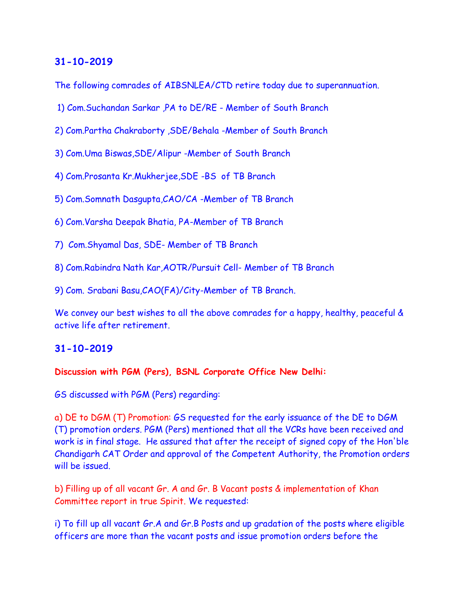The following comrades of AIBSNLEA/CTD retire today due to superannuation.

- 1) Com.Suchandan Sarkar ,PA to DE/RE Member of South Branch
- 2) Com.Partha Chakraborty ,SDE/Behala -Member of South Branch
- 3) Com.Uma Biswas,SDE/Alipur -Member of South Branch
- 4) Com.Prosanta Kr.Mukherjee,SDE -BS of TB Branch
- 5) Com.Somnath Dasgupta,CAO/CA -Member of TB Branch
- 6) Com.Varsha Deepak Bhatia, PA-Member of TB Branch
- 7) Com.Shyamal Das, SDE- Member of TB Branch
- 8) Com.Rabindra Nath Kar,AOTR/Pursuit Cell- Member of TB Branch

9) Com. Srabani Basu,CAO(FA)/City-Member of TB Branch.

We convey our best wishes to all the above comrades for a happy, healthy, peaceful & active life after retirement.

## **31-10-2019**

#### **Discussion with PGM (Pers), BSNL Corporate Office New Delhi:**

GS discussed with PGM (Pers) regarding:

a) DE to DGM (T) Promotion: GS requested for the early issuance of the DE to DGM (T) promotion orders. PGM (Pers) mentioned that all the VCRs have been received and work is in final stage. He assured that after the receipt of signed copy of the Hon'ble Chandigarh CAT Order and approval of the Competent Authority, the Promotion orders will be issued.

b) Filling up of all vacant Gr. A and Gr. B Vacant posts & implementation of Khan Committee report in true Spirit. We requested:

i) To fill up all vacant Gr.A and Gr.B Posts and up gradation of the posts where eligible officers are more than the vacant posts and issue promotion orders before the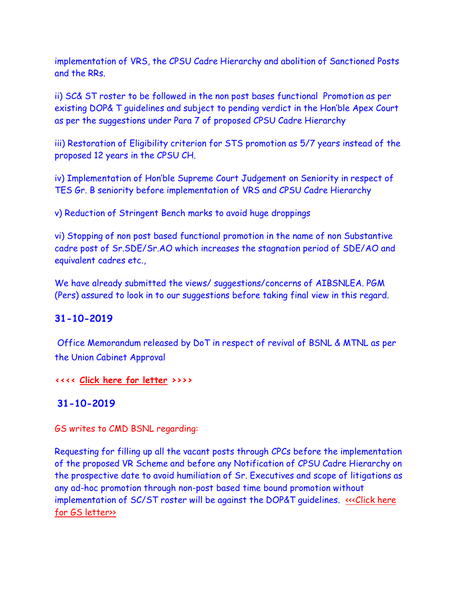implementation of VRS, the CPSU Cadre Hierarchy and abolition of Sanctioned Posts and the RRs.

ii) SC& ST roster to be followed in the non post bases functional Promotion as per existing DOP& T guidelines and subject to pending verdict in the Hon'ble Apex Court as per the suggestions under Para 7 of proposed CPSU Cadre Hierarchy

iii) Restoration of Eligibility criterion for STS promotion as 5/7 years instead of the proposed 12 years in the CPSU CH.

iv) Implementation of Hon'ble Supreme Court Judgement on Seniority in respect of TES Gr. B seniority before implementation of VRS and CPSU Cadre Hierarchy

v) Reduction of Stringent Bench marks to avoid huge droppings

vi) Stopping of non post based functional promotion in the name of non Substantive cadre post of Sr.SDE/Sr.AO which increases the stagnation period of SDE/AO and equivalent cadres etc.,

We have already submitted the views/ suggestions/concerns of AIBSNLEA. PGM (Pers) assured to look in to our suggestions before taking final view in this regard.

# **31-10-2019**

Office Memorandum released by DoT in respect of revival of BSNL & MTNL as per the Union Cabinet Approval

**<<<< [Click here for letter](Revival%20memo_291019.pdf) >>>>**

# **31-10-2019**

GS writes to CMD BSNL regarding:

Requesting for filling up all the vacant posts through CPCs before the implementation of the proposed VR Scheme and before any Notification of CPSU Cadre Hierarchy on the prospective date to avoid humiliation of Sr. Executives and scope of litigations as any ad-hoc promotion through non-post based time bound promotion without implementation of SC/ST roster will be against the DOP&T quidelines. «Click here for GS letter»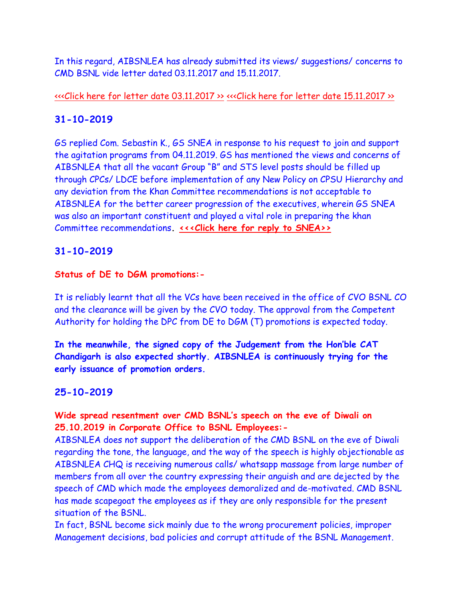In this regard, AIBSNLEA has already submitted its views/ suggestions/ concerns to CMD BSNL vide letter dated 03.11.2017 and 15.11.2017.

[<<<Click here for letter date 03.11.2017 >>](http://www.aibsnleachq.in/CMD_CPSU_171103_1.pdf) [<<<Click here for letter date 15.11.2017 >>](http://www.aibsnleachq.in/AIBSNLEA%20Views%20on%20CPSU_15112017.pdf)

# **31-10-2019**

GS replied Com. Sebastin K., GS SNEA in response to his request to join and support the agitation programs from 04.11.2019. GS has mentioned the views and concerns of AIBSNLEA that all the vacant Group "B" and STS level posts should be filled up through CPCs/ LDCE before implementation of any New Policy on CPSU Hierarchy and any deviation from the Khan Committee recommendations is not acceptable to AIBSNLEA for the better career progression of the executives, wherein GS SNEA was also an important constituent and played a vital role in preparing the khan Committee recommendations**. [<<<Click here for reply to SNEA>>](http://www.aibsnleachq.in/GSSNEA191031.pdf)**

# **31-10-2019**

# **Status of DE to DGM promotions:-**

It is reliably learnt that all the VCs have been received in the office of CVO BSNL CO and the clearance will be given by the CVO today. The approval from the Competent Authority for holding the DPC from DE to DGM (T) promotions is expected today.

**In the meanwhile, the signed copy of the Judgement from the Hon'ble CAT Chandigarh is also expected shortly. AIBSNLEA is continuously trying for the early issuance of promotion orders.**

# **25-10-2019**

# **Wide spread resentment over CMD BSNL's speech on the eve of Diwali on 25.10.2019 in Corporate Office to BSNL Employees:-**

AIBSNLEA does not support the deliberation of the CMD BSNL on the eve of Diwali regarding the tone, the language, and the way of the speech is highly objectionable as AIBSNLEA CHQ is receiving numerous calls/ whatsapp massage from large number of members from all over the country expressing their anguish and are dejected by the speech of CMD which made the employees demoralized and de-motivated. CMD BSNL has made scapegoat the employees as if they are only responsible for the present situation of the BSNL.

In fact, BSNL become sick mainly due to the wrong procurement policies, improper Management decisions, bad policies and corrupt attitude of the BSNL Management.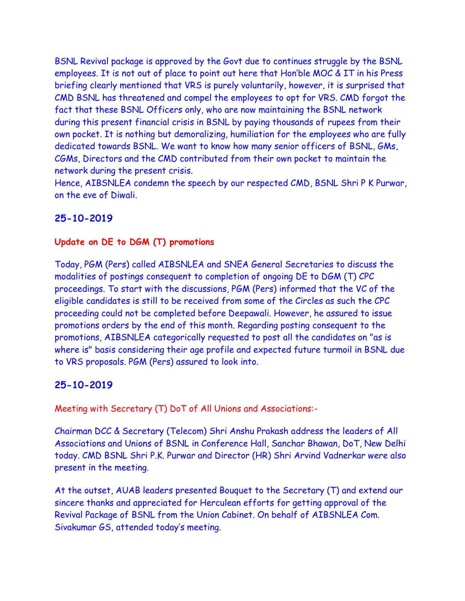BSNL Revival package is approved by the Govt due to continues struggle by the BSNL employees. It is not out of place to point out here that Hon'ble MOC & IT in his Press briefing clearly mentioned that VRS is purely voluntarily, however, it is surprised that CMD BSNL has threatened and compel the employees to opt for VRS. CMD forgot the fact that these BSNL Officers only, who are now maintaining the BSNL network during this present financial crisis in BSNL by paying thousands of rupees from their own pocket. It is nothing but demoralizing, humiliation for the employees who are fully dedicated towards BSNL. We want to know how many senior officers of BSNL, GMs, CGMs, Directors and the CMD contributed from their own pocket to maintain the network during the present crisis.

Hence, AIBSNLEA condemn the speech by our respected CMD, BSNL Shri P K Purwar, on the eve of Diwali.

# **25-10-2019**

#### **Update on DE to DGM (T) promotions**

Today, PGM (Pers) called AIBSNLEA and SNEA General Secretaries to discuss the modalities of postings consequent to completion of ongoing DE to DGM (T) CPC proceedings. To start with the discussions, PGM (Pers) informed that the VC of the eligible candidates is still to be received from some of the Circles as such the CPC proceeding could not be completed before Deepawali. However, he assured to issue promotions orders by the end of this month. Regarding posting consequent to the promotions, AIBSNLEA categorically requested to post all the candidates on "as is where is" basis considering their age profile and expected future turmoil in BSNL due to VRS proposals. PGM (Pers) assured to look into.

#### **25-10-2019**

Meeting with Secretary (T) DoT of All Unions and Associations:-

Chairman DCC & Secretary (Telecom) Shri Anshu Prakash address the leaders of All Associations and Unions of BSNL in Conference Hall, Sanchar Bhawan, DoT, New Delhi today. CMD BSNL Shri P.K. Purwar and Director (HR) Shri Arvind Vadnerkar were also present in the meeting.

At the outset, AUAB leaders presented Bouquet to the Secretary (T) and extend our sincere thanks and appreciated for Herculean efforts for getting approval of the Revival Package of BSNL from the Union Cabinet. On behalf of AIBSNLEA Com. Sivakumar GS, attended today's meeting.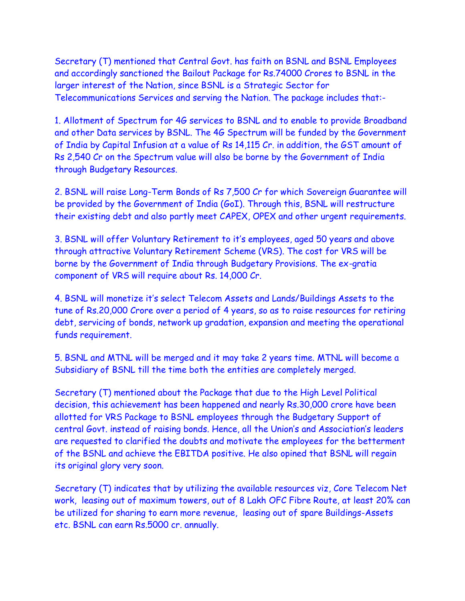Secretary (T) mentioned that Central Govt. has faith on BSNL and BSNL Employees and accordingly sanctioned the Bailout Package for Rs.74000 Crores to BSNL in the larger interest of the Nation, since BSNL is a Strategic Sector for Telecommunications Services and serving the Nation. The package includes that:-

1. Allotment of Spectrum for 4G services to BSNL and to enable to provide Broadband and other Data services by BSNL. The 4G Spectrum will be funded by the Government of India by Capital Infusion at a value of Rs 14,115 Cr. in addition, the GST amount of Rs 2,540 Cr on the Spectrum value will also be borne by the Government of India through Budgetary Resources.

2. BSNL will raise Long-Term Bonds of Rs 7,500 Cr for which Sovereign Guarantee will be provided by the Government of India (GoI). Through this, BSNL will restructure their existing debt and also partly meet CAPEX, OPEX and other urgent requirements.

3. BSNL will offer Voluntary Retirement to it's employees, aged 50 years and above through attractive Voluntary Retirement Scheme (VRS). The cost for VRS will be borne by the Government of India through Budgetary Provisions. The ex-gratia component of VRS will require about Rs. 14,000 Cr.

4. BSNL will monetize it's select Telecom Assets and Lands/Buildings Assets to the tune of Rs.20,000 Crore over a period of 4 years, so as to raise resources for retiring debt, servicing of bonds, network up gradation, expansion and meeting the operational funds requirement.

5. BSNL and MTNL will be merged and it may take 2 years time. MTNL will become a Subsidiary of BSNL till the time both the entities are completely merged.

Secretary (T) mentioned about the Package that due to the High Level Political decision, this achievement has been happened and nearly Rs.30,000 crore have been allotted for VRS Package to BSNL employees through the Budgetary Support of central Govt. instead of raising bonds. Hence, all the Union's and Association's leaders are requested to clarified the doubts and motivate the employees for the betterment of the BSNL and achieve the EBITDA positive. He also opined that BSNL will regain its original glory very soon.

Secretary (T) indicates that by utilizing the available resources viz, Core Telecom Net work, leasing out of maximum towers, out of 8 Lakh OFC Fibre Route, at least 20% can be utilized for sharing to earn more revenue, leasing out of spare Buildings-Assets etc. BSNL can earn Rs.5000 cr. annually.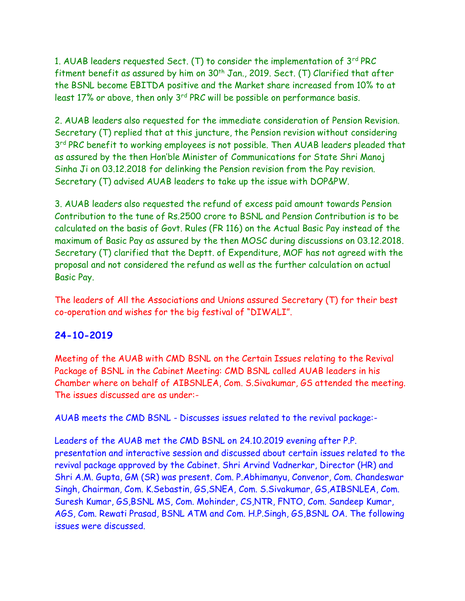1. AUAB leaders requested Sect. (T) to consider the implementation of 3rd PRC fitment benefit as assured by him on  $30<sup>th</sup>$  Jan., 2019. Sect. (T) Clarified that after the BSNL become EBITDA positive and the Market share increased from 10% to at least 17% or above, then only 3<sup>rd</sup> PRC will be possible on performance basis.

2. AUAB leaders also requested for the immediate consideration of Pension Revision. Secretary (T) replied that at this juncture, the Pension revision without considering 3<sup>rd</sup> PRC benefit to working employees is not possible. Then AUAB leaders pleaded that as assured by the then Hon'ble Minister of Communications for State Shri Manoj Sinha Ji on 03.12.2018 for delinking the Pension revision from the Pay revision. Secretary (T) advised AUAB leaders to take up the issue with DOP&PW.

3. AUAB leaders also requested the refund of excess paid amount towards Pension Contribution to the tune of Rs.2500 crore to BSNL and Pension Contribution is to be calculated on the basis of Govt. Rules (FR 116) on the Actual Basic Pay instead of the maximum of Basic Pay as assured by the then MOSC during discussions on 03.12.2018. Secretary (T) clarified that the Deptt. of Expenditure, MOF has not agreed with the proposal and not considered the refund as well as the further calculation on actual Basic Pay.

The leaders of All the Associations and Unions assured Secretary (T) for their best co-operation and wishes for the big festival of "DIWALI".

# **24-10-2019**

Meeting of the AUAB with CMD BSNL on the Certain Issues relating to the Revival Package of BSNL in the Cabinet Meeting: CMD BSNL called AUAB leaders in his Chamber where on behalf of AIBSNLEA, Com. S.Sivakumar, GS attended the meeting. The issues discussed are as under:-

AUAB meets the CMD BSNL - Discusses issues related to the revival package:-

Leaders of the AUAB met the CMD BSNL on 24.10.2019 evening after P.P. presentation and interactive session and discussed about certain issues related to the revival package approved by the Cabinet. Shri Arvind Vadnerkar, Director (HR) and Shri A.M. Gupta, GM (SR) was present. Com. P.Abhimanyu, Convenor, Com. Chandeswar Singh, Chairman, Com. K.Sebastin, GS,SNEA, Com. S.Sivakumar, GS,AIBSNLEA, Com. Suresh Kumar, GS,BSNL MS, Com. Mohinder, CS,NTR, FNTO, Com. Sandeep Kumar, AGS, Com. Rewati Prasad, BSNL ATM and Com. H.P.Singh, GS,BSNL OA. The following issues were discussed.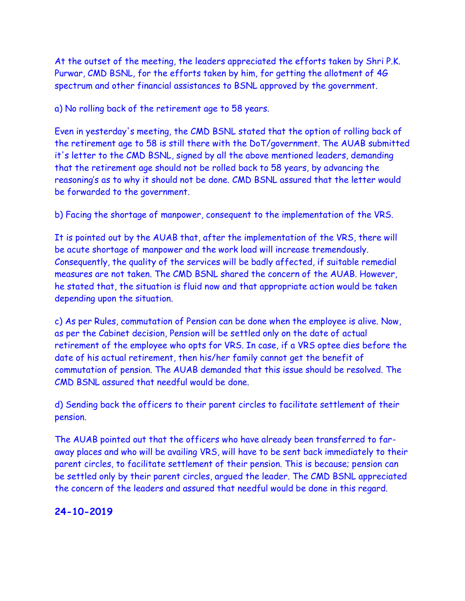At the outset of the meeting, the leaders appreciated the efforts taken by Shri P.K. Purwar, CMD BSNL, for the efforts taken by him, for getting the allotment of 4G spectrum and other financial assistances to BSNL approved by the government.

a) No rolling back of the retirement age to 58 years.

Even in yesterday's meeting, the CMD BSNL stated that the option of rolling back of the retirement age to 58 is still there with the DoT/government. The AUAB submitted it's letter to the CMD BSNL, signed by all the above mentioned leaders, demanding that the retirement age should not be rolled back to 58 years, by advancing the reasoning's as to why it should not be done. CMD BSNL assured that the letter would be forwarded to the government.

b) Facing the shortage of manpower, consequent to the implementation of the VRS.

It is pointed out by the AUAB that, after the implementation of the VRS, there will be acute shortage of manpower and the work load will increase tremendously. Consequently, the quality of the services will be badly affected, if suitable remedial measures are not taken. The CMD BSNL shared the concern of the AUAB. However, he stated that, the situation is fluid now and that appropriate action would be taken depending upon the situation.

c) As per Rules, commutation of Pension can be done when the employee is alive. Now, as per the Cabinet decision, Pension will be settled only on the date of actual retirement of the employee who opts for VRS. In case, if a VRS optee dies before the date of his actual retirement, then his/her family cannot get the benefit of commutation of pension. The AUAB demanded that this issue should be resolved. The CMD BSNL assured that needful would be done.

d) Sending back the officers to their parent circles to facilitate settlement of their pension.

The AUAB pointed out that the officers who have already been transferred to faraway places and who will be availing VRS, will have to be sent back immediately to their parent circles, to facilitate settlement of their pension. This is because; pension can be settled only by their parent circles, argued the leader. The CMD BSNL appreciated the concern of the leaders and assured that needful would be done in this regard.

# **24-10-2019**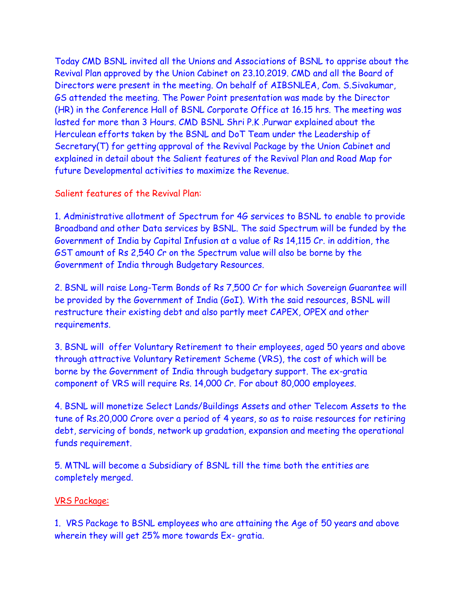Today CMD BSNL invited all the Unions and Associations of BSNL to apprise about the Revival Plan approved by the Union Cabinet on 23.10.2019. CMD and all the Board of Directors were present in the meeting. On behalf of AIBSNLEA, Com. S.Sivakumar, GS attended the meeting. The Power Point presentation was made by the Director (HR) in the Conference Hall of BSNL Corporate Office at 16.15 hrs. The meeting was lasted for more than 3 Hours. CMD BSNL Shri P.K .Purwar explained about the Herculean efforts taken by the BSNL and DoT Team under the Leadership of Secretary(T) for getting approval of the Revival Package by the Union Cabinet and explained in detail about the Salient features of the Revival Plan and Road Map for future Developmental activities to maximize the Revenue.

Salient features of the Revival Plan:

1. Administrative allotment of Spectrum for 4G services to BSNL to enable to provide Broadband and other Data services by BSNL. The said Spectrum will be funded by the Government of India by Capital Infusion at a value of Rs 14,115 Cr. in addition, the GST amount of Rs 2,540 Cr on the Spectrum value will also be borne by the Government of India through Budgetary Resources.

2. BSNL will raise Long-Term Bonds of Rs 7,500 Cr for which Sovereign Guarantee will be provided by the Government of India (GoI). With the said resources, BSNL will restructure their existing debt and also partly meet CAPEX, OPEX and other requirements.

3. BSNL will offer Voluntary Retirement to their employees, aged 50 years and above through attractive Voluntary Retirement Scheme (VRS), the cost of which will be borne by the Government of India through budgetary support. The ex-gratia component of VRS will require Rs. 14,000 Cr. For about 80,000 employees.

4. BSNL will monetize Select Lands/Buildings Assets and other Telecom Assets to the tune of Rs.20,000 Crore over a period of 4 years, so as to raise resources for retiring debt, servicing of bonds, network up gradation, expansion and meeting the operational funds requirement.

5. MTNL will become a Subsidiary of BSNL till the time both the entities are completely merged.

#### VRS Package:

1. VRS Package to BSNL employees who are attaining the Age of 50 years and above wherein they will get 25% more towards Ex- gratia.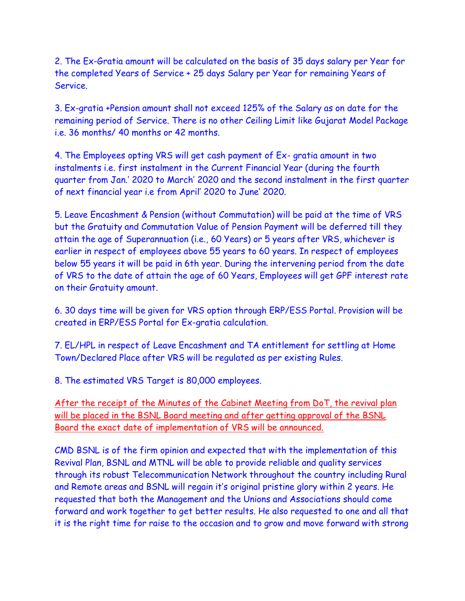2. The Ex-Gratia amount will be calculated on the basis of 35 days salary per Year for the completed Years of Service + 25 days Salary per Year for remaining Years of Service.

3. Ex-gratia +Pension amount shall not exceed 125% of the Salary as on date for the remaining period of Service. There is no other Ceiling Limit like Gujarat Model Package i.e. 36 months/ 40 months or 42 months.

4. The Employees opting VRS will get cash payment of Ex- gratia amount in two instalments i.e. first instalment in the Current Financial Year (during the fourth quarter from Jan.' 2020 to March' 2020 and the second instalment in the first quarter of next financial year i.e from April' 2020 to June' 2020.

5. Leave Encashment & Pension (without Commutation) will be paid at the time of VRS but the Gratuity and Commutation Value of Pension Payment will be deferred till they attain the age of Superannuation (i.e., 60 Years) or 5 years after VRS, whichever is earlier in respect of employees above 55 years to 60 years. In respect of employees below 55 years it will be paid in 6th year. During the intervening period from the date of VRS to the date of attain the age of 60 Years, Employees will get GPF interest rate on their Gratuity amount.

6. 30 days time will be given for VRS option through ERP/ESS Portal. Provision will be created in ERP/ESS Portal for Ex-gratia calculation.

7. EL/HPL in respect of Leave Encashment and TA entitlement for settling at Home Town/Declared Place after VRS will be regulated as per existing Rules.

8. The estimated VRS Target is 80,000 employees.

After the receipt of the Minutes of the Cabinet Meeting from DoT, the revival plan will be placed in the BSNL Board meeting and after getting approval of the BSNL Board the exact date of implementation of VRS will be announced.

CMD BSNL is of the firm opinion and expected that with the implementation of this Revival Plan, BSNL and MTNL will be able to provide reliable and quality services through its robust Telecommunication Network throughout the country including Rural and Remote areas and BSNL will regain it's original pristine glory within 2 years. He requested that both the Management and the Unions and Associations should come forward and work together to get better results. He also requested to one and all that it is the right time for raise to the occasion and to grow and move forward with strong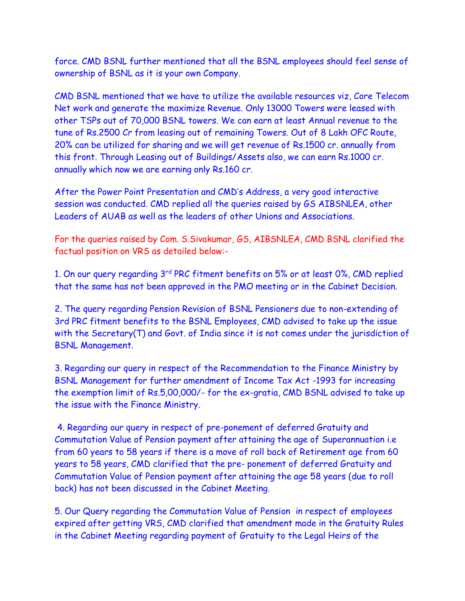force. CMD BSNL further mentioned that all the BSNL employees should feel sense of ownership of BSNL as it is your own Company.

CMD BSNL mentioned that we have to utilize the available resources viz, Core Telecom Net work and generate the maximize Revenue. Only 13000 Towers were leased with other TSPs out of 70,000 BSNL towers. We can earn at least Annual revenue to the tune of Rs.2500 Cr from leasing out of remaining Towers. Out of 8 Lakh OFC Route, 20% can be utilized for sharing and we will get revenue of Rs.1500 cr. annually from this front. Through Leasing out of Buildings/Assets also, we can earn Rs.1000 cr. annually which now we are earning only Rs.160 cr.

After the Power Point Presentation and CMD's Address, a very good interactive session was conducted. CMD replied all the queries raised by GS AIBSNLEA, other Leaders of AUAB as well as the leaders of other Unions and Associations.

For the queries raised by Com. S.Sivakumar, GS, AIBSNLEA, CMD BSNL clarified the factual position on VRS as detailed below:-

1. On our query regarding 3rd PRC fitment benefits on 5% or at least 0%, CMD replied that the same has not been approved in the PMO meeting or in the Cabinet Decision.

2. The query regarding Pension Revision of BSNL Pensioners due to non-extending of 3rd PRC fitment benefits to the BSNL Employees, CMD advised to take up the issue with the Secretary(T) and Govt. of India since it is not comes under the jurisdiction of BSNL Management.

3. Regarding our query in respect of the Recommendation to the Finance Ministry by BSNL Management for further amendment of Income Tax Act -1993 for increasing the exemption limit of Rs.5,00,000/- for the ex-gratia, CMD BSNL advised to take up the issue with the Finance Ministry.

4. Regarding our query in respect of pre-ponement of deferred Gratuity and Commutation Value of Pension payment after attaining the age of Superannuation i.e from 60 years to 58 years if there is a move of roll back of Retirement age from 60 years to 58 years, CMD clarified that the pre- ponement of deferred Gratuity and Commutation Value of Pension payment after attaining the age 58 years (due to roll back) has not been discussed in the Cabinet Meeting.

5. Our Query regarding the Commutation Value of Pension in respect of employees expired after getting VRS, CMD clarified that amendment made in the Gratuity Rules in the Cabinet Meeting regarding payment of Gratuity to the Legal Heirs of the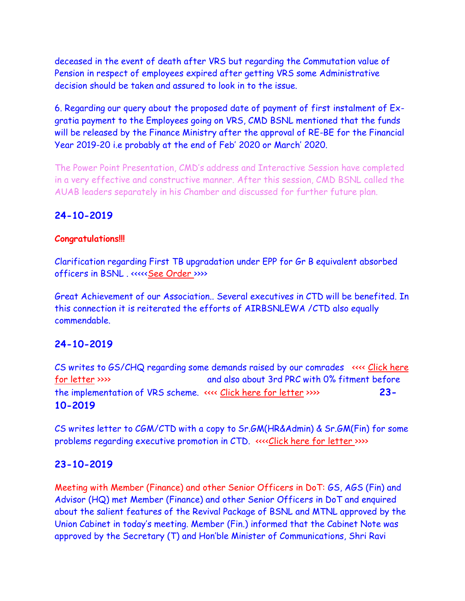deceased in the event of death after VRS but regarding the Commutation value of Pension in respect of employees expired after getting VRS some Administrative decision should be taken and assured to look in to the issue.

6. Regarding our query about the proposed date of payment of first instalment of Exgratia payment to the Employees going on VRS, CMD BSNL mentioned that the funds will be released by the Finance Ministry after the approval of RE-BE for the Financial Year 2019-20 i.e probably at the end of Feb' 2020 or March' 2020.

The Power Point Presentation, CMD's address and Interactive Session have completed in a very effective and constructive manner. After this session, CMD BSNL called the AUAB leaders separately in his Chamber and discussed for further future plan.

# **24-10-2019**

## **Congratulations!!!**

Clarification regarding First TB upgradation under EPP for Gr B equivalent absorbed officers in BSNL. <<<<[<See Order >](EPP%20Clarification_231019.pdf)>>>>>>>>

Great Achievement of our Association.. Several executives in CTD will be benefited. In this connection it is reiterated the efforts of AIRBSNLEWA /CTD also equally commendable.

# **24-10-2019**

CS writes to GS/CHQ regarding some demands raised by our comrades <<<< [Click here](GS_241019.pdf)  [for letter](GS_241019.pdf) >>>> and also about 3rd PRC with 0% fitment before the implementation of VRS scheme. <<<< [Click here for letter](GS_%20pension_241019.pdf) >>>> **23- 10-2019**

CS writes letter to CGM/CTD with a copy to Sr.GM(HR&Admin) & Sr.GM(Fin) for some problems regarding executive promotion in CTD. <<<[<Click here for letter](CGM_221019.pdf) >>>>

# **23-10-2019**

Meeting with Member (Finance) and other Senior Officers in DoT: GS, AGS (Fin) and Advisor (HQ) met Member (Finance) and other Senior Officers in DoT and enquired about the salient features of the Revival Package of BSNL and MTNL approved by the Union Cabinet in today's meeting. Member (Fin.) informed that the Cabinet Note was approved by the Secretary (T) and Hon'ble Minister of Communications, Shri Ravi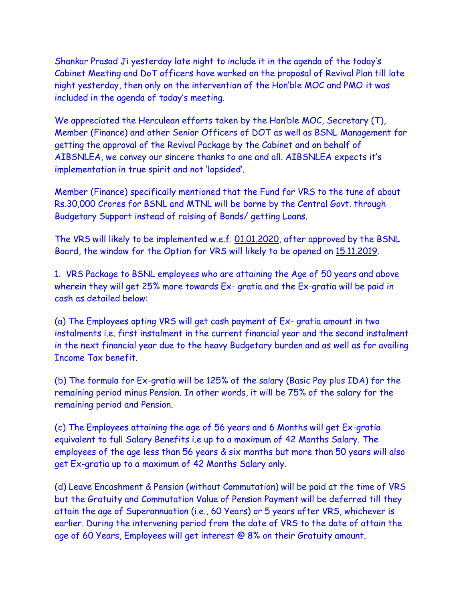Shankar Prasad Ji yesterday late night to include it in the agenda of the today's Cabinet Meeting and DoT officers have worked on the proposal of Revival Plan till late night yesterday, then only on the intervention of the Hon'ble MOC and PMO it was included in the agenda of today's meeting.

We appreciated the Herculean efforts taken by the Hon'ble MOC, Secretary (T), Member (Finance) and other Senior Officers of DOT as well as BSNL Management for getting the approval of the Revival Package by the Cabinet and on behalf of AIBSNLEA, we convey our sincere thanks to one and all. AIBSNLEA expects it's implementation in true spirit and not 'lopsided'.

Member (Finance) specifically mentioned that the Fund for VRS to the tune of about Rs.30,000 Crores for BSNL and MTNL will be borne by the Central Govt. through Budgetary Support instead of raising of Bonds/ getting Loans.

The VRS will likely to be implemented w.e.f. 01.01.2020, after approved by the BSNL Board, the window for the Option for VRS will likely to be opened on 15.11.2019.

1. VRS Package to BSNL employees who are attaining the Age of 50 years and above wherein they will get 25% more towards Ex- gratia and the Ex-gratia will be paid in cash as detailed below:

(a) The Employees opting VRS will get cash payment of Ex- gratia amount in two instalments i.e. first instalment in the current financial year and the second instalment in the next financial year due to the heavy Budgetary burden and as well as for availing Income Tax benefit.

(b) The formula for Ex-gratia will be 125% of the salary (Basic Pay plus IDA) for the remaining period minus Pension. In other words, it will be 75% of the salary for the remaining period and Pension.

(c) The Employees attaining the age of 56 years and 6 Months will get Ex-gratia equivalent to full Salary Benefits i.e up to a maximum of 42 Months Salary. The employees of the age less than 56 years & six months but more than 50 years will also get Ex-gratia up to a maximum of 42 Months Salary only.

(d) Leave Encashment & Pension (without Commutation) will be paid at the time of VRS but the Gratuity and Commutation Value of Pension Payment will be deferred till they attain the age of Superannuation (i.e., 60 Years) or 5 years after VRS, whichever is earlier. During the intervening period from the date of VRS to the date of attain the age of 60 Years, Employees will get interest @ 8% on their Gratuity amount.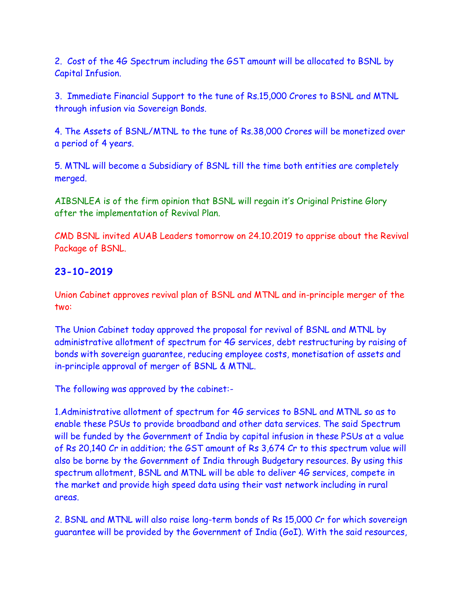2. Cost of the 4G Spectrum including the GST amount will be allocated to BSNL by Capital Infusion.

3. Immediate Financial Support to the tune of Rs.15,000 Crores to BSNL and MTNL through infusion via Sovereign Bonds.

4. The Assets of BSNL/MTNL to the tune of Rs.38,000 Crores will be monetized over a period of 4 years.

5. MTNL will become a Subsidiary of BSNL till the time both entities are completely merged.

AIBSNLEA is of the firm opinion that BSNL will regain it's Original Pristine Glory after the implementation of Revival Plan.

CMD BSNL invited AUAB Leaders tomorrow on 24.10.2019 to apprise about the Revival Package of BSNL.

# **23-10-2019**

Union Cabinet approves revival plan of BSNL and MTNL and in-principle merger of the two:

The Union Cabinet today approved the proposal for revival of BSNL and MTNL by administrative allotment of spectrum for 4G services, debt restructuring by raising of bonds with sovereign guarantee, reducing employee costs, monetisation of assets and in-principle approval of merger of BSNL & MTNL.

The following was approved by the cabinet:-

1.Administrative allotment of spectrum for 4G services to BSNL and MTNL so as to enable these PSUs to provide broadband and other data services. The said Spectrum will be funded by the Government of India by capital infusion in these PSUs at a value of Rs 20,140 Cr in addition; the GST amount of Rs 3,674 Cr to this spectrum value will also be borne by the Government of India through Budgetary resources. By using this spectrum allotment, BSNL and MTNL will be able to deliver 4G services, compete in the market and provide high speed data using their vast network including in rural areas.

2. BSNL and MTNL will also raise long-term bonds of Rs 15,000 Cr for which sovereign guarantee will be provided by the Government of India (GoI). With the said resources,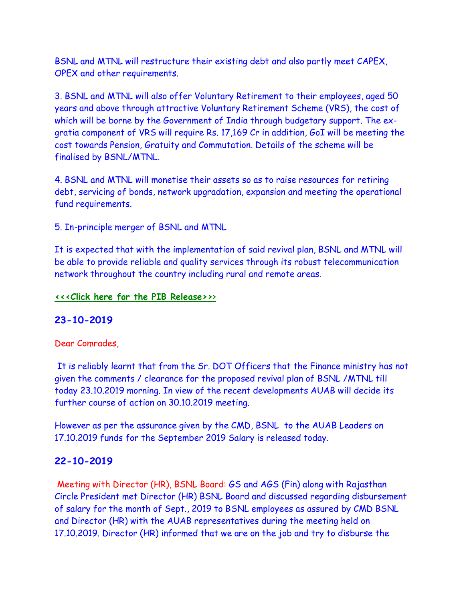BSNL and MTNL will restructure their existing debt and also partly meet CAPEX, OPEX and other requirements.

3. BSNL and MTNL will also offer Voluntary Retirement to their employees, aged 50 years and above through attractive Voluntary Retirement Scheme (VRS), the cost of which will be borne by the Government of India through budgetary support. The exgratia component of VRS will require Rs. 17,169 Cr in addition, GoI will be meeting the cost towards Pension, Gratuity and Commutation. Details of the scheme will be finalised by BSNL/MTNL.

4. BSNL and MTNL will monetise their assets so as to raise resources for retiring debt, servicing of bonds, network upgradation, expansion and meeting the operational fund requirements.

5. In-principle merger of BSNL and MTNL

It is expected that with the implementation of said revival plan, BSNL and MTNL will be able to provide reliable and quality services through its robust telecommunication network throughout the country including rural and remote areas.

#### **<<<Click here [for the PIB Release>>](http://www.aibsnleachq.in/PIB1588848.pdf)**[>](http://www.aibsnleachq.in/PIB1588848.pdf)

## **23-10-2019**

## Dear Comrades,

It is reliably learnt that from the Sr. DOT Officers that the Finance ministry has not given the comments / clearance for the proposed revival plan of BSNL /MTNL till today 23.10.2019 morning. In view of the recent developments AUAB will decide its further course of action on 30.10.2019 meeting.

However as per the assurance given by the CMD, BSNL to the AUAB Leaders on 17.10.2019 funds for the September 2019 Salary is released today.

## **22-10-2019**

Meeting with Director (HR), BSNL Board: GS and AGS (Fin) along with Rajasthan Circle President met Director (HR) BSNL Board and discussed regarding disbursement of salary for the month of Sept., 2019 to BSNL employees as assured by CMD BSNL and Director (HR) with the AUAB representatives during the meeting held on 17.10.2019. Director (HR) informed that we are on the job and try to disburse the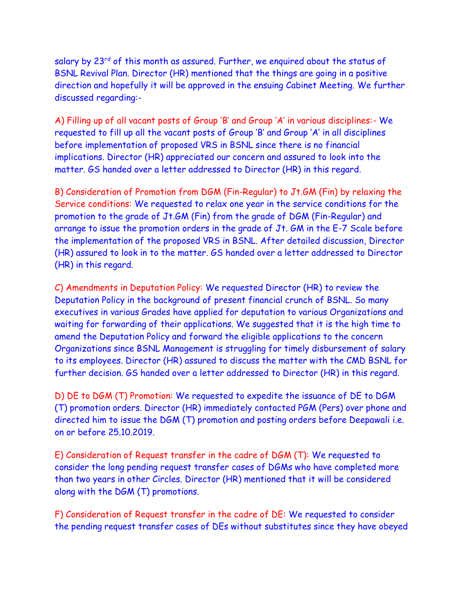salary by 23<sup>rd</sup> of this month as assured. Further, we enquired about the status of BSNL Revival Plan. Director (HR) mentioned that the things are going in a positive direction and hopefully it will be approved in the ensuing Cabinet Meeting. We further discussed regarding:-

A) Filling up of all vacant posts of Group 'B' and Group 'A' in various disciplines:- We requested to fill up all the vacant posts of Group 'B' and Group 'A' in all disciplines before implementation of proposed VRS in BSNL since there is no financial implications. Director (HR) appreciated our concern and assured to look into the matter. GS handed over a letter addressed to Director (HR) in this regard.

B) Consideration of Promotion from DGM (Fin-Regular) to Jt.GM (Fin) by relaxing the Service conditions: We requested to relax one year in the service conditions for the promotion to the grade of Jt.GM (Fin) from the grade of DGM (Fin-Regular) and arrange to issue the promotion orders in the grade of Jt. GM in the E-7 Scale before the implementation of the proposed VRS in BSNL. After detailed discussion, Director (HR) assured to look in to the matter. GS handed over a letter addressed to Director (HR) in this regard.

C) Amendments in Deputation Policy: We requested Director (HR) to review the Deputation Policy in the background of present financial crunch of BSNL. So many executives in various Grades have applied for deputation to various Organizations and waiting for forwarding of their applications. We suggested that it is the high time to amend the Deputation Policy and forward the eligible applications to the concern Organizations since BSNL Management is struggling for timely disbursement of salary to its employees. Director (HR) assured to discuss the matter with the CMD BSNL for further decision. GS handed over a letter addressed to Director (HR) in this regard.

D) DE to DGM (T) Promotion: We requested to expedite the issuance of DE to DGM (T) promotion orders. Director (HR) immediately contacted PGM (Pers) over phone and directed him to issue the DGM (T) promotion and posting orders before Deepawali i.e. on or before 25.10.2019.

E) Consideration of Request transfer in the cadre of DGM (T): We requested to consider the long pending request transfer cases of DGMs who have completed more than two years in other Circles. Director (HR) mentioned that it will be considered along with the DGM (T) promotions.

F) Consideration of Request transfer in the cadre of DE: We requested to consider the pending request transfer cases of DEs without substitutes since they have obeyed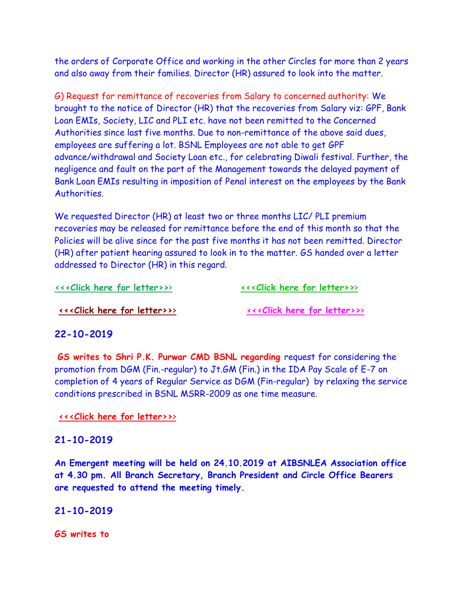the orders of Corporate Office and working in the other Circles for more than 2 years and also away from their families. Director (HR) assured to look into the matter.

G) Request for remittance of recoveries from Salary to concerned authority: We brought to the notice of Director (HR) that the recoveries from Salary viz: GPF, Bank Loan EMIs, Society, LIC and PLI etc. have not been remitted to the Concerned Authorities since last five months. Due to non-remittance of the above said dues, employees are suffering a lot. BSNL Employees are not able to get GPF advance/withdrawal and Society Loan etc., for celebrating Diwali festival. Further, the negligence and fault on the part of the Management towards the delayed payment of Bank Loan EMIs resulting in imposition of Penal interest on the employees by the Bank Authorities.

We requested Director (HR) at least two or three months LIC/ PLI premium recoveries may be released for remittance before the end of this month so that the Policies will be alive since for the past five months it has not been remitted. Director (HR) after patient hearing assured to look in to the matter. GS handed over a letter addressed to Director (HR) in this regard.

#### **[<<<Click here for letter>>](http://www.aibsnleachq.in/DIRHR_191022_1.pdf)**[>](http://www.aibsnleachq.in/DIRHR_191022_1.pdf) **[<<<Click here for letter>>](http://www.aibsnleachq.in/CMD_191022_2.pdf)**[>](http://www.aibsnleachq.in/CMD_191022_2.pdf)

**[<<<Click here for letter>>](http://www.aibsnleachq.in/CMD_191022_4.pdf)**[>](http://www.aibsnleachq.in/CMD_191022_4.pdf) **[<<<Click here for letter>>](http://www.aibsnleachq.in/CMD_191022_3.pdf)**[>](http://www.aibsnleachq.in/CMD_191022_3.pdf)

#### **22-10-2019**

**GS writes to Shri P.K. Purwar CMD BSNL regarding** request for considering the promotion from DGM (Fin.-regular) to Jt.GM (Fin.) in the IDA Pay Scale of E-7 on completion of 4 years of Regular Service as DGM (Fin-regular) by relaxing the service conditions prescribed in BSNL MSRR-2009 as one time measure.

#### **[<<<Click here for letter>>](http://www.aibsnleachq.in/New%20Doc%202019-10-22%2014.48.49.pdf)**[>](http://www.aibsnleachq.in/New%20Doc%202019-10-22%2014.48.49.pdf)

#### **21-10-2019**

**An Emergent meeting will be held on 24.10.2019 at AIBSNLEA Association office at 4.30 pm. All Branch Secretary, Branch President and Circle Office Bearers are requested to attend the meeting timely.**

#### **21-10-2019**

**GS writes to**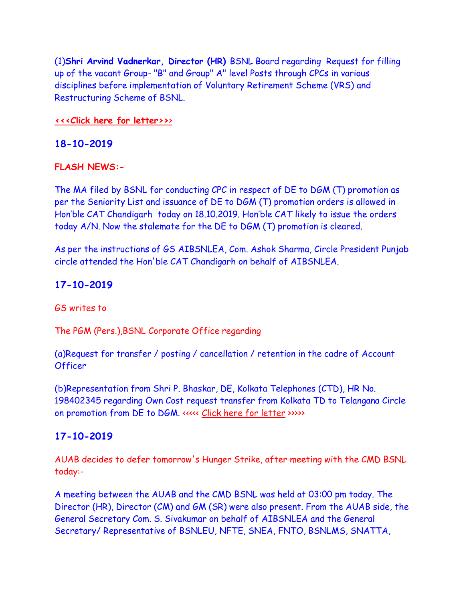(1)**Shri Arvind Vadnerkar, Director (HR)** BSNL Board regarding Request for filling up of the vacant Group- "B" and Group" A" level Posts through CPCs in various disciplines before implementation of Voluntary Retirement Scheme (VRS) and Restructuring Scheme of BSNL.

#### **[<<<Click here for letter>>](http://www.aibsnleachq.in/DIRHR_191021.pdf)**[>](http://www.aibsnleachq.in/DIRHR_191021.pdf)

### **18-10-2019**

#### **FLASH NEWS:-**

The MA filed by BSNL for conducting CPC in respect of DE to DGM (T) promotion as per the Seniority List and issuance of DE to DGM (T) promotion orders is allowed in Hon'ble CAT Chandigarh today on 18.10.2019. Hon'ble CAT likely to issue the orders today A/N. Now the stalemate for the DE to DGM (T) promotion is cleared.

As per the instructions of GS AIBSNLEA, Com. Ashok Sharma, Circle President Punjab circle attended the Hon'ble CAT Chandigarh on behalf of AIBSNLEA.

#### **17-10-2019**

GS writes to

The PGM (Pers.),BSNL Corporate Office regarding

(a)Request for transfer / posting / cancellation / retention in the cadre of Account **Officer** 

(b)Representation from Shri P. Bhaskar, DE, Kolkata Telephones (CTD), HR No. 198402345 regarding Own Cost request transfer from Kolkata TD to Telangana Circle on promotion from DE to DGM. <<<<< [Click here for letter](http://aibsnleawb.org/PGMP_191017.pdf) >>>>>

## **17-10-2019**

AUAB decides to defer tomorrow's Hunger Strike, after meeting with the CMD BSNL today:-

A meeting between the AUAB and the CMD BSNL was held at 03:00 pm today. The Director (HR), Director (CM) and GM (SR) were also present. From the AUAB side, the General Secretary Com. S. Sivakumar on behalf of AIBSNLEA and the General Secretary/ Representative of BSNLEU, NFTE, SNEA, FNTO, BSNLMS, SNATTA,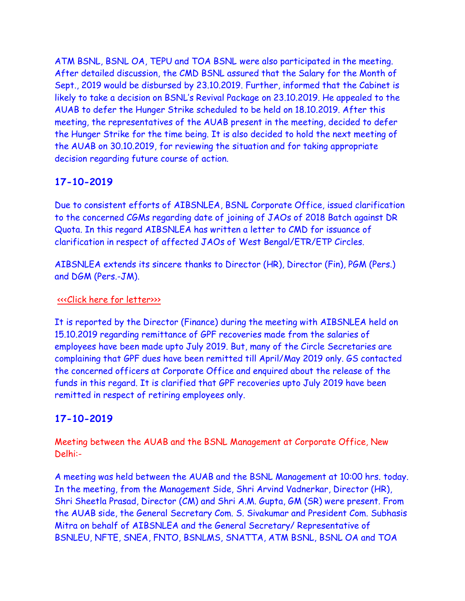ATM BSNL, BSNL OA, TEPU and TOA BSNL were also participated in the meeting. After detailed discussion, the CMD BSNL assured that the Salary for the Month of Sept., 2019 would be disbursed by 23.10.2019. Further, informed that the Cabinet is likely to take a decision on BSNL's Revival Package on 23.10.2019. He appealed to the AUAB to defer the Hunger Strike scheduled to be held on 18.10.2019. After this meeting, the representatives of the AUAB present in the meeting, decided to defer the Hunger Strike for the time being. It is also decided to hold the next meeting of the AUAB on 30.10.2019, for reviewing the situation and for taking appropriate decision regarding future course of action.

# **17-10-2019**

Due to consistent efforts of AIBSNLEA, BSNL Corporate Office, issued clarification to the concerned CGMs regarding date of joining of JAOs of 2018 Batch against DR Quota. In this regard AIBSNLEA has written a letter to CMD for issuance of clarification in respect of affected JAOs of West Bengal/ETR/ETP Circles.

AIBSNLEA extends its sincere thanks to Director (HR), Director (Fin), PGM (Pers.) and DGM (Pers.-JM).

# [<<<Click here for letter>>>](http://www.aibsnleachq.in/jaodoj%20(1).pdf)

It is reported by the Director (Finance) during the meeting with AIBSNLEA held on 15.10.2019 regarding remittance of GPF recoveries made from the salaries of employees have been made upto July 2019. But, many of the Circle Secretaries are complaining that GPF dues have been remitted till April/May 2019 only. GS contacted the concerned officers at Corporate Office and enquired about the release of the funds in this regard. It is clarified that GPF recoveries upto July 2019 have been remitted in respect of retiring employees only.

# **17-10-2019**

Meeting between the AUAB and the BSNL Management at Corporate Office, New Delhi:-

A meeting was held between the AUAB and the BSNL Management at 10:00 hrs. today. In the meeting, from the Management Side, Shri Arvind Vadnerkar, Director (HR), Shri Sheetla Prasad, Director (CM) and Shri A.M. Gupta, GM (SR) were present. From the AUAB side, the General Secretary Com. S. Sivakumar and President Com. Subhasis Mitra on behalf of AIBSNLEA and the General Secretary/ Representative of BSNLEU, NFTE, SNEA, FNTO, BSNLMS, SNATTA, ATM BSNL, BSNL OA and TOA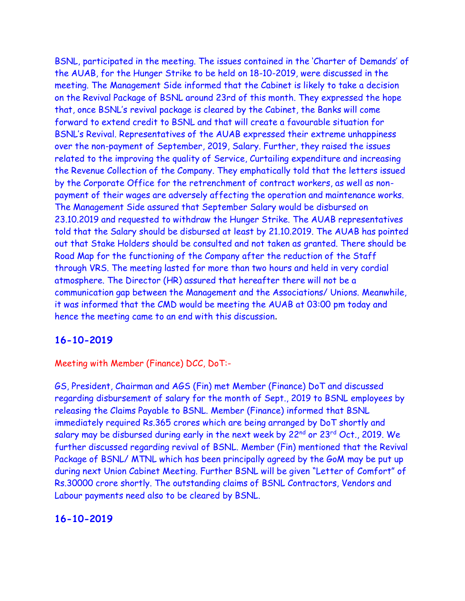BSNL, participated in the meeting. The issues contained in the 'Charter of Demands' of the AUAB, for the Hunger Strike to be held on 18-10-2019, were discussed in the meeting. The Management Side informed that the Cabinet is likely to take a decision on the Revival Package of BSNL around 23rd of this month. They expressed the hope that, once BSNL's revival package is cleared by the Cabinet, the Banks will come forward to extend credit to BSNL and that will create a favourable situation for BSNL's Revival. Representatives of the AUAB expressed their extreme unhappiness over the non-payment of September, 2019, Salary. Further, they raised the issues related to the improving the quality of Service, Curtailing expenditure and increasing the Revenue Collection of the Company. They emphatically told that the letters issued by the Corporate Office for the retrenchment of contract workers, as well as nonpayment of their wages are adversely affecting the operation and maintenance works. The Management Side assured that September Salary would be disbursed on 23.10.2019 and requested to withdraw the Hunger Strike. The AUAB representatives told that the Salary should be disbursed at least by 21.10.2019. The AUAB has pointed out that Stake Holders should be consulted and not taken as granted. There should be Road Map for the functioning of the Company after the reduction of the Staff through VRS. The meeting lasted for more than two hours and held in very cordial atmosphere. The Director (HR) assured that hereafter there will not be a communication gap between the Management and the Associations/ Unions. Meanwhile, it was informed that the CMD would be meeting the AUAB at 03:00 pm today and hence the meeting came to an end with this discussion.

## **16-10-2019**

Meeting with Member (Finance) DCC, DoT:-

GS, President, Chairman and AGS (Fin) met Member (Finance) DoT and discussed regarding disbursement of salary for the month of Sept., 2019 to BSNL employees by releasing the Claims Payable to BSNL. Member (Finance) informed that BSNL immediately required Rs.365 crores which are being arranged by DoT shortly and salary may be disbursed during early in the next week by 22<sup>nd</sup> or 23<sup>rd</sup> Oct., 2019. We further discussed regarding revival of BSNL. Member (Fin) mentioned that the Revival Package of BSNL/ MTNL which has been principally agreed by the GoM may be put up during next Union Cabinet Meeting. Further BSNL will be given "Letter of Comfort" of Rs.30000 crore shortly. The outstanding claims of BSNL Contractors, Vendors and Labour payments need also to be cleared by BSNL.

## **16-10-2019**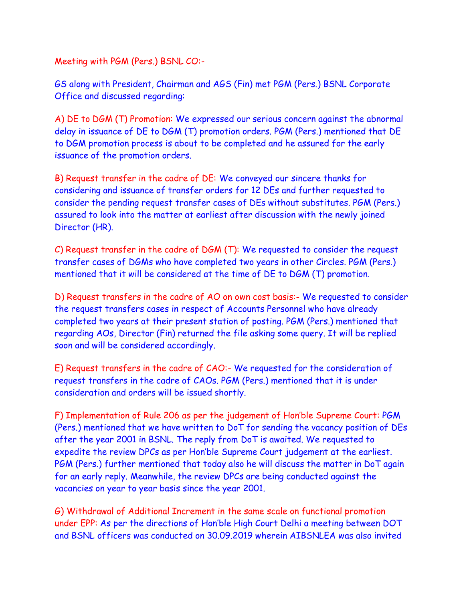Meeting with PGM (Pers.) BSNL CO:-

GS along with President, Chairman and AGS (Fin) met PGM (Pers.) BSNL Corporate Office and discussed regarding:

A) DE to DGM (T) Promotion: We expressed our serious concern against the abnormal delay in issuance of DE to DGM (T) promotion orders. PGM (Pers.) mentioned that DE to DGM promotion process is about to be completed and he assured for the early issuance of the promotion orders.

B) Request transfer in the cadre of DE: We conveyed our sincere thanks for considering and issuance of transfer orders for 12 DEs and further requested to consider the pending request transfer cases of DEs without substitutes. PGM (Pers.) assured to look into the matter at earliest after discussion with the newly joined Director (HR).

C) Request transfer in the cadre of DGM (T): We requested to consider the request transfer cases of DGMs who have completed two years in other Circles. PGM (Pers.) mentioned that it will be considered at the time of DE to DGM (T) promotion.

D) Request transfers in the cadre of AO on own cost basis:- We requested to consider the request transfers cases in respect of Accounts Personnel who have already completed two years at their present station of posting. PGM (Pers.) mentioned that regarding AOs, Director (Fin) returned the file asking some query. It will be replied soon and will be considered accordingly.

E) Request transfers in the cadre of CAO:- We requested for the consideration of request transfers in the cadre of CAOs. PGM (Pers.) mentioned that it is under consideration and orders will be issued shortly.

F) Implementation of Rule 206 as per the judgement of Hon'ble Supreme Court: PGM (Pers.) mentioned that we have written to DoT for sending the vacancy position of DEs after the year 2001 in BSNL. The reply from DoT is awaited. We requested to expedite the review DPCs as per Hon'ble Supreme Court judgement at the earliest. PGM (Pers.) further mentioned that today also he will discuss the matter in DoT again for an early reply. Meanwhile, the review DPCs are being conducted against the vacancies on year to year basis since the year 2001.

G) Withdrawal of Additional Increment in the same scale on functional promotion under EPP: As per the directions of Hon'ble High Court Delhi a meeting between DOT and BSNL officers was conducted on 30.09.2019 wherein AIBSNLEA was also invited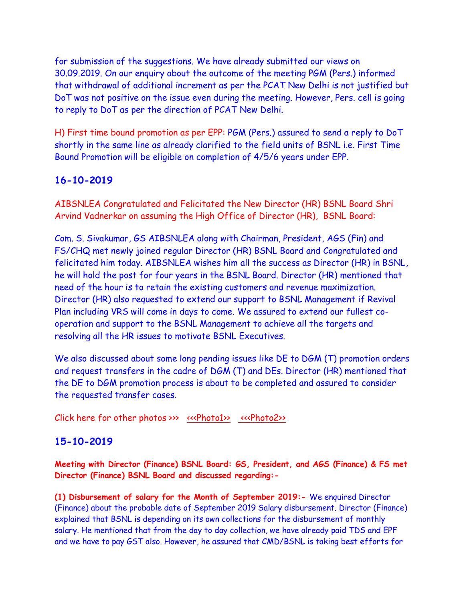for submission of the suggestions. We have already submitted our views on 30.09.2019. On our enquiry about the outcome of the meeting PGM (Pers.) informed that withdrawal of additional increment as per the PCAT New Delhi is not justified but DoT was not positive on the issue even during the meeting. However, Pers. cell is going to reply to DoT as per the direction of PCAT New Delhi.

H) First time bound promotion as per EPP: PGM (Pers.) assured to send a reply to DoT shortly in the same line as already clarified to the field units of BSNL i.e. First Time Bound Promotion will be eligible on completion of 4/5/6 years under EPP.

# **16-10-2019**

AIBSNLEA Congratulated and Felicitated the New Director (HR) BSNL Board Shri Arvind Vadnerkar on assuming the High Office of Director (HR), BSNL Board:

Com. S. Sivakumar, GS AIBSNLEA along with Chairman, President, AGS (Fin) and FS/CHQ met newly joined regular Director (HR) BSNL Board and Congratulated and felicitated him today. AIBSNLEA wishes him all the success as Director (HR) in BSNL, he will hold the post for four years in the BSNL Board. Director (HR) mentioned that need of the hour is to retain the existing customers and revenue maximization. Director (HR) also requested to extend our support to BSNL Management if Revival Plan including VRS will come in days to come. We assured to extend our fullest cooperation and support to the BSNL Management to achieve all the targets and resolving all the HR issues to motivate BSNL Executives.

We also discussed about some long pending issues like DE to DGM (T) promotion orders and request transfers in the cadre of DGM (T) and DEs. Director (HR) mentioned that the DE to DGM promotion process is about to be completed and assured to consider the requested transfer cases.

Click here for other photos >>> [<<<Photo1>>](http://www.aibsnleachq.in/IMG20191016105913%20(1).jpg) [<<<Photo2>>](http://www.aibsnleachq.in/IMG20191016105716%20(1).jpg)

# **15-10-2019**

**Meeting with Director (Finance) BSNL Board: GS, President, and AGS (Finance) & FS met Director (Finance) BSNL Board and discussed regarding:-**

**(1) Disbursement of salary for the Month of September 2019:-** We enquired Director (Finance) about the probable date of September 2019 Salary disbursement. Director (Finance) explained that BSNL is depending on its own collections for the disbursement of monthly salary. He mentioned that from the day to day collection, we have already paid TDS and EPF and we have to pay GST also. However, he assured that CMD/BSNL is taking best efforts for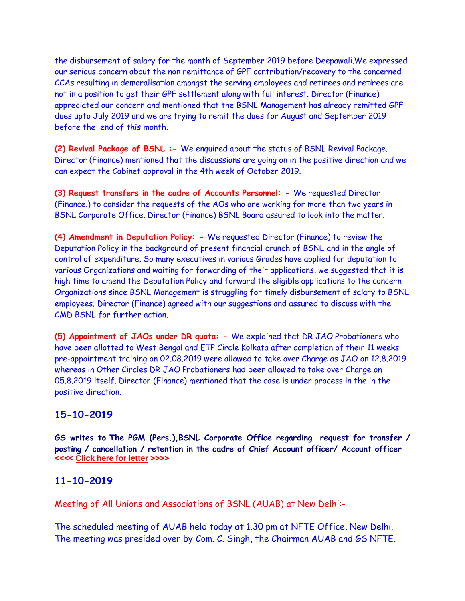the disbursement of salary for the month of September 2019 before Deepawali.We expressed our serious concern about the non remittance of GPF contribution/recovery to the concerned CCAs resulting in demoralisation amongst the serving employees and retirees and retirees are not in a position to get their GPF settlement along with full interest. Director (Finance) appreciated our concern and mentioned that the BSNL Management has already remitted GPF dues upto July 2019 and we are trying to remit the dues for August and September 2019 before the end of this month.

**(2) Revival Package of BSNL :-** We enquired about the status of BSNL Revival Package. Director (Finance) mentioned that the discussions are going on in the positive direction and we can expect the Cabinet approval in the 4th week of October 2019.

**(3) Request transfers in the cadre of Accounts Personnel: -** We requested Director (Finance.) to consider the requests of the AOs who are working for more than two years in BSNL Corporate Office. Director (Finance) BSNL Board assured to look into the matter.

**(4) Amendment in Deputation Policy: -** We requested Director (Finance) to review the Deputation Policy in the background of present financial crunch of BSNL and in the angle of control of expenditure. So many executives in various Grades have applied for deputation to various Organizations and waiting for forwarding of their applications, we suggested that it is high time to amend the Deputation Policy and forward the eligible applications to the concern Organizations since BSNL Management is struggling for timely disbursement of salary to BSNL employees. Director (Finance) agreed with our suggestions and assured to discuss with the CMD BSNL for further action.

**(5) Appointment of JAOs under DR quota: -** We explained that DR JAO Probationers who have been allotted to West Bengal and ETP Circle Kolkata after completion of their 11 weeks pre-appointment training on 02.08.2019 were allowed to take over Charge as JAO on 12.8.2019 whereas in Other Circles DR JAO Probationers had been allowed to take over Charge on 05.8.2019 itself. Director (Finance) mentioned that the case is under process in the in the positive direction.

## **15-10-2019**

**GS writes to The PGM (Pers.),BSNL Corporate Office regarding request for transfer / posting / cancellation / retention in the cadre of Chief Account officer/ Account officer <<<< [Click here for letter](http://aibsnleawb.org/PGMP_191015.pdf) >>>>**

## **11-10-2019**

Meeting of All Unions and Associations of BSNL (AUAB) at New Delhi:-

The scheduled meeting of AUAB held today at 1.30 pm at NFTE Office, New Delhi. The meeting was presided over by Com. C. Singh, the Chairman AUAB and GS NFTE.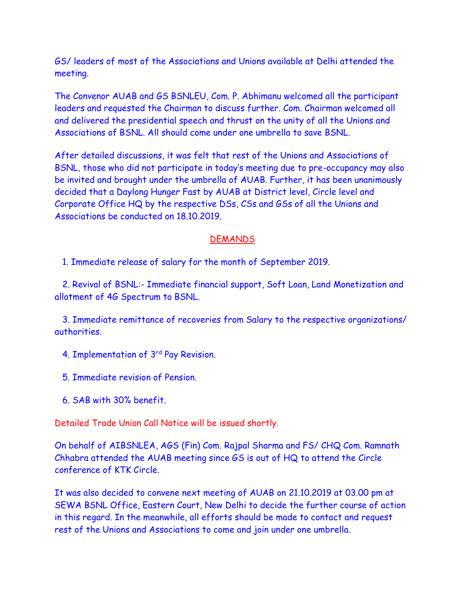GS/ leaders of most of the Associations and Unions available at Delhi attended the meeting.

The Convenor AUAB and GS BSNLEU, Com. P. Abhimanu welcomed all the participant leaders and requested the Chairman to discuss further. Com. Chairman welcomed all and delivered the presidential speech and thrust on the unity of all the Unions and Associations of BSNL. All should come under one umbrella to save BSNL.

After detailed discussions, it was felt that rest of the Unions and Associations of BSNL, those who did not participate in today's meeting due to pre-occupancy may also be invited and brought under the umbrella of AUAB. Further, it has been unanimously decided that a Daylong Hunger Fast by AUAB at District level, Circle level and Corporate Office HQ by the respective DSs, CSs and GSs of all the Unions and Associations be conducted on 18.10.2019.

#### **DEMANDS**

1. Immediate release of salary for the month of September 2019.

2. Revival of BSNL:- Immediate financial support, Soft Loan, Land Monetization and allotment of 4G Spectrum to BSNL.

 3. Immediate remittance of recoveries from Salary to the respective organizations/ authorities.

- 4. Implementation of 3rd Pay Revision.
- 5. Immediate revision of Pension.
- 6. SAB with 30% benefit.

Detailed Trade Union Call Notice will be issued shortly.

On behalf of AIBSNLEA, AGS (Fin) Com. Rajpal Sharma and FS/ CHQ Com. Ramnath Chhabra attended the AUAB meeting since GS is out of HQ to attend the Circle conference of KTK Circle.

It was also decided to convene next meeting of AUAB on 21.10.2019 at 03.00 pm at SEWA BSNL Office, Eastern Court, New Delhi to decide the further course of action in this regard. In the meanwhile, all efforts should be made to contact and request rest of the Unions and Associations to come and join under one umbrella.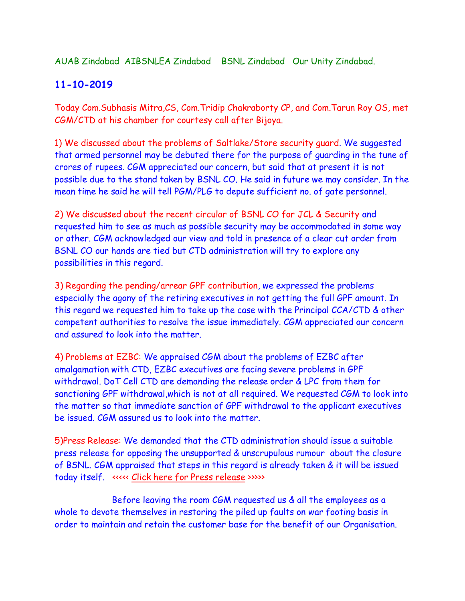AUAB Zindabad AIBSNLEA Zindabad BSNL Zindabad Our Unity Zindabad.

# **11-10-2019**

Today Com.Subhasis Mitra,CS, Com.Tridip Chakraborty CP, and Com.Tarun Roy OS, met CGM/CTD at his chamber for courtesy call after Bijoya.

1) We discussed about the problems of Saltlake/Store security guard. We suggested that armed personnel may be debuted there for the purpose of guarding in the tune of crores of rupees. CGM appreciated our concern, but said that at present it is not possible due to the stand taken by BSNL CO. He said in future we may consider. In the mean time he said he will tell PGM/PLG to depute sufficient no. of gate personnel.

2) We discussed about the recent circular of BSNL CO for JCL & Security and requested him to see as much as possible security may be accommodated in some way or other. CGM acknowledged our view and told in presence of a clear cut order from BSNL CO our hands are tied but CTD administration will try to explore any possibilities in this regard.

3) Regarding the pending/arrear GPF contribution, we expressed the problems especially the agony of the retiring executives in not getting the full GPF amount. In this regard we requested him to take up the case with the Principal CCA/CTD & other competent authorities to resolve the issue immediately. CGM appreciated our concern and assured to look into the matter.

4) Problems at EZBC: We appraised CGM about the problems of EZBC after amalgamation with CTD, EZBC executives are facing severe problems in GPF withdrawal. DoT Cell CTD are demanding the release order & LPC from them for sanctioning GPF withdrawal,which is not at all required. We requested CGM to look into the matter so that immediate sanction of GPF withdrawal to the applicant executives be issued. CGM assured us to look into the matter.

5)Press Release: We demanded that the CTD administration should issue a suitable press release for opposing the unsupported & unscrupulous rumour about the closure of BSNL. CGM appraised that steps in this regard is already taken & it will be issued today itself. <<<<< [Click here for Press release](http://aibsnleawb.org/press%20release%2011102019.pdf) >>>>>

Before leaving the room CGM requested us & all the employees as a whole to devote themselves in restoring the piled up faults on war footing basis in order to maintain and retain the customer base for the benefit of our Organisation.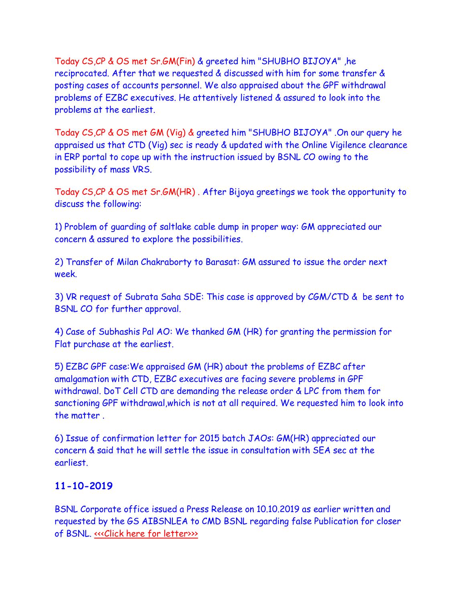Today CS,CP & OS met Sr.GM(Fin) & greeted him "SHUBHO BIJOYA" ,he reciprocated. After that we requested & discussed with him for some transfer & posting cases of accounts personnel. We also appraised about the GPF withdrawal problems of EZBC executives. He attentively listened & assured to look into the problems at the earliest.

Today CS,CP & OS met GM (Vig) & greeted him "SHUBHO BIJOYA" .On our query he appraised us that CTD (Vig) sec is ready & updated with the Online Vigilence clearance in ERP portal to cope up with the instruction issued by BSNL CO owing to the possibility of mass VRS.

Today CS,CP & OS met Sr.GM(HR) . After Bijoya greetings we took the opportunity to discuss the following:

1) Problem of guarding of saltlake cable dump in proper way: GM appreciated our concern & assured to explore the possibilities.

2) Transfer of Milan Chakraborty to Barasat: GM assured to issue the order next week.

3) VR request of Subrata Saha SDE: This case is approved by CGM/CTD & be sent to BSNL CO for further approval.

4) Case of Subhashis Pal AO: We thanked GM (HR) for granting the permission for Flat purchase at the earliest.

5) EZBC GPF case:We appraised GM (HR) about the problems of EZBC after amalgamation with CTD, EZBC executives are facing severe problems in GPF withdrawal. DoT Cell CTD are demanding the release order & LPC from them for sanctioning GPF withdrawal,which is not at all required. We requested him to look into the matter .

6) Issue of confirmation letter for 2015 batch JAOs: GM(HR) appreciated our concern & said that he will settle the issue in consultation with SEA sec at the earliest.

# **11-10-2019**

BSNL Corporate office issued a Press Release on 10.10.2019 as earlier written and requested by the GS AIBSNLEA to CMD BSNL regarding false Publication for closer of BSNL. «<< Click here for letter>>>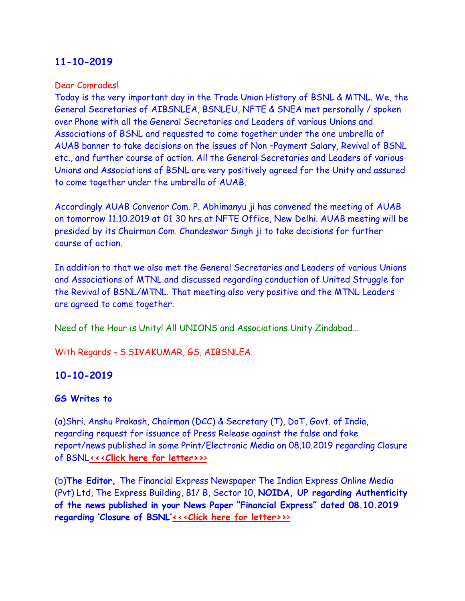#### Dear Comrades!

Today is the very important day in the Trade Union History of BSNL & MTNL. We, the General Secretaries of AIBSNLEA, BSNLEU, NFTE & SNEA met personally / spoken over Phone with all the General Secretaries and Leaders of various Unions and Associations of BSNL and requested to come together under the one umbrella of AUAB banner to take decisions on the issues of Non –Payment Salary, Revival of BSNL etc., and further course of action. All the General Secretaries and Leaders of various Unions and Associations of BSNL are very positively agreed for the Unity and assured to come together under the umbrella of AUAB.

Accordingly AUAB Convenor Com. P. Abhimanyu ji has convened the meeting of AUAB on tomorrow 11.10.2019 at 01 30 hrs at NFTE Office, New Delhi. AUAB meeting will be presided by its Chairman Com. Chandeswar Singh ji to take decisions for further course of action.

In addition to that we also met the General Secretaries and Leaders of various Unions and Associations of MTNL and discussed regarding conduction of United Struggle for the Revival of BSNL/MTNL. That meeting also very positive and the MTNL Leaders are agreed to come together.

Need of the Hour is Unity! All UNIONS and Associations Unity Zindabad...

With Regards – S.SIVAKUMAR, GS, AIBSNLEA.

## **10-10-2019**

## **GS Writes to**

(a)Shri. Anshu Prakash, Chairman (DCC) & Secretary (T), DoT, Govt. of India, regarding request for issuance of Press Release against the false and fake report/news published in some Print/Electronic Media on 08.10.2019 regarding Closure of BSNL**[<<<Click here for letter>>](http://www.aibsnleachq.in/DOT_191010.pdf)**[>](http://www.aibsnleachq.in/DOT_191010.pdf)

(b)**The Editor,** The Financial Express Newspaper The Indian Express Online Media (Pvt) Ltd, The Express Building, B1/ B, Sector 10, **NOIDA, UP regarding Authenticity of the news published in your News Paper "Financial Express" dated 08.10.2019 regarding 'Closure of BSNL'[<<<Click here for letter>>](http://www.aibsnleachq.in/FE_191010.pdf)**[>](http://www.aibsnleachq.in/FE_191010.pdf)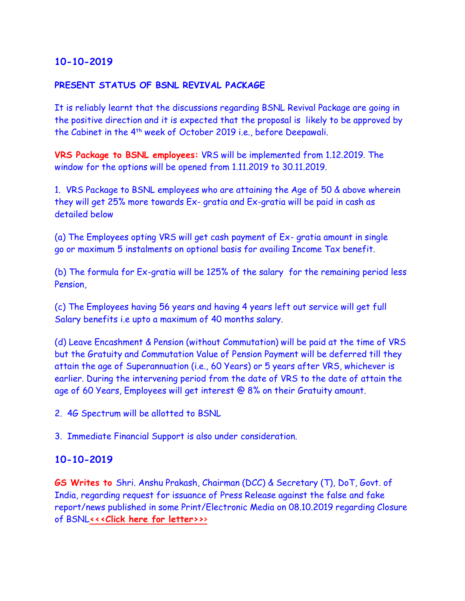#### **PRESENT STATUS OF BSNL REVIVAL PACKAGE**

It is reliably learnt that the discussions regarding BSNL Revival Package are going in the positive direction and it is expected that the proposal is likely to be approved by the Cabinet in the 4th week of October 2019 i.e., before Deepawali.

**VRS Package to BSNL employees:** VRS will be implemented from 1.12.2019. The window for the options will be opened from 1.11.2019 to 30.11.2019.

1. VRS Package to BSNL employees who are attaining the Age of 50 & above wherein they will get 25% more towards Ex- gratia and Ex-gratia will be paid in cash as detailed below

(a) The Employees opting VRS will get cash payment of Ex- gratia amount in single go or maximum 5 instalments on optional basis for availing Income Tax benefit.

(b) The formula for Ex-gratia will be 125% of the salary for the remaining period less Pension,

(c) The Employees having 56 years and having 4 years left out service will get full Salary benefits i.e upto a maximum of 40 months salary.

(d) Leave Encashment & Pension (without Commutation) will be paid at the time of VRS but the Gratuity and Commutation Value of Pension Payment will be deferred till they attain the age of Superannuation (i.e., 60 Years) or 5 years after VRS, whichever is earlier. During the intervening period from the date of VRS to the date of attain the age of 60 Years, Employees will get interest @ 8% on their Gratuity amount.

2. 4G Spectrum will be allotted to BSNL

3. Immediate Financial Support is also under consideration.

#### **10-10-2019**

**GS Writes to** Shri. Anshu Prakash, Chairman (DCC) & Secretary (T), DoT, Govt. of India, regarding request for issuance of Press Release against the false and fake report/news published in some Print/Electronic Media on 08.10.2019 regarding Closure of BSNL**[<<<Click here for letter>>](http://www.aibsnleachq.in/DOT_191010.pdf)**[>](http://www.aibsnleachq.in/DOT_191010.pdf)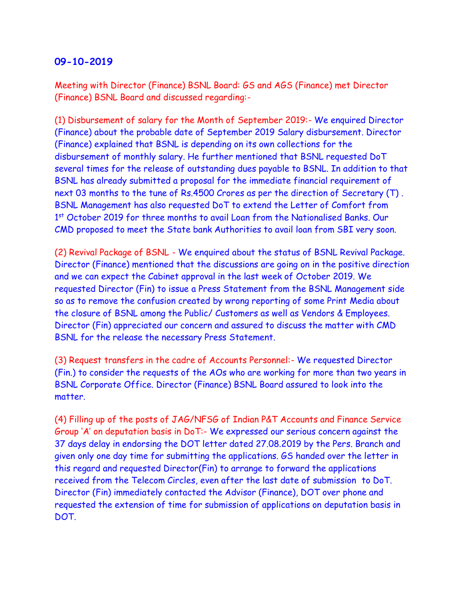Meeting with Director (Finance) BSNL Board: GS and AGS (Finance) met Director (Finance) BSNL Board and discussed regarding:-

(1) Disbursement of salary for the Month of September 2019:- We enquired Director (Finance) about the probable date of September 2019 Salary disbursement. Director (Finance) explained that BSNL is depending on its own collections for the disbursement of monthly salary. He further mentioned that BSNL requested DoT several times for the release of outstanding dues payable to BSNL. In addition to that BSNL has already submitted a proposal for the immediate financial requirement of next 03 months to the tune of Rs.4500 Crores as per the direction of Secretary (T) . BSNL Management has also requested DoT to extend the Letter of Comfort from 1<sup>st</sup> October 2019 for three months to avail Loan from the Nationalised Banks. Our CMD proposed to meet the State bank Authorities to avail loan from SBI very soon.

(2) Revival Package of BSNL - We enquired about the status of BSNL Revival Package. Director (Finance) mentioned that the discussions are going on in the positive direction and we can expect the Cabinet approval in the last week of October 2019. We requested Director (Fin) to issue a Press Statement from the BSNL Management side so as to remove the confusion created by wrong reporting of some Print Media about the closure of BSNL among the Public/ Customers as well as Vendors & Employees. Director (Fin) appreciated our concern and assured to discuss the matter with CMD BSNL for the release the necessary Press Statement.

(3) Request transfers in the cadre of Accounts Personnel:- We requested Director (Fin.) to consider the requests of the AOs who are working for more than two years in BSNL Corporate Office. Director (Finance) BSNL Board assured to look into the matter.

(4) Filling up of the posts of JAG/NFSG of Indian P&T Accounts and Finance Service Group 'A' on deputation basis in DoT:- We expressed our serious concern against the 37 days delay in endorsing the DOT letter dated 27.08.2019 by the Pers. Branch and given only one day time for submitting the applications. GS handed over the letter in this regard and requested Director(Fin) to arrange to forward the applications received from the Telecom Circles, even after the last date of submission to DoT. Director (Fin) immediately contacted the Advisor (Finance), DOT over phone and requested the extension of time for submission of applications on deputation basis in DOT.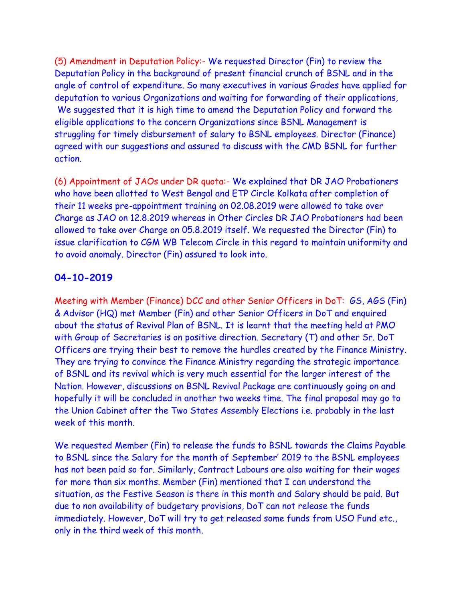(5) Amendment in Deputation Policy:- We requested Director (Fin) to review the Deputation Policy in the background of present financial crunch of BSNL and in the angle of control of expenditure. So many executives in various Grades have applied for deputation to various Organizations and waiting for forwarding of their applications, We suggested that it is high time to amend the Deputation Policy and forward the eligible applications to the concern Organizations since BSNL Management is struggling for timely disbursement of salary to BSNL employees. Director (Finance) agreed with our suggestions and assured to discuss with the CMD BSNL for further action.

(6) Appointment of JAOs under DR quota:- We explained that DR JAO Probationers who have been allotted to West Bengal and ETP Circle Kolkata after completion of their 11 weeks pre-appointment training on 02.08.2019 were allowed to take over Charge as JAO on 12.8.2019 whereas in Other Circles DR JAO Probationers had been allowed to take over Charge on 05.8.2019 itself. We requested the Director (Fin) to issue clarification to CGM WB Telecom Circle in this regard to maintain uniformity and to avoid anomaly. Director (Fin) assured to look into.

#### **04-10-2019**

Meeting with Member (Finance) DCC and other Senior Officers in DoT: GS, AGS (Fin) & Advisor (HQ) met Member (Fin) and other Senior Officers in DoT and enquired about the status of Revival Plan of BSNL. It is learnt that the meeting held at PMO with Group of Secretaries is on positive direction. Secretary (T) and other Sr. DoT Officers are trying their best to remove the hurdles created by the Finance Ministry. They are trying to convince the Finance Ministry regarding the strategic importance of BSNL and its revival which is very much essential for the larger interest of the Nation. However, discussions on BSNL Revival Package are continuously going on and hopefully it will be concluded in another two weeks time. The final proposal may go to the Union Cabinet after the Two States Assembly Elections i.e. probably in the last week of this month.

We requested Member (Fin) to release the funds to BSNL towards the Claims Payable to BSNL since the Salary for the month of September' 2019 to the BSNL employees has not been paid so far. Similarly, Contract Labours are also waiting for their wages for more than six months. Member (Fin) mentioned that I can understand the situation, as the Festive Season is there in this month and Salary should be paid. But due to non availability of budgetary provisions, DoT can not release the funds immediately. However, DoT will try to get released some funds from USO Fund etc., only in the third week of this month.